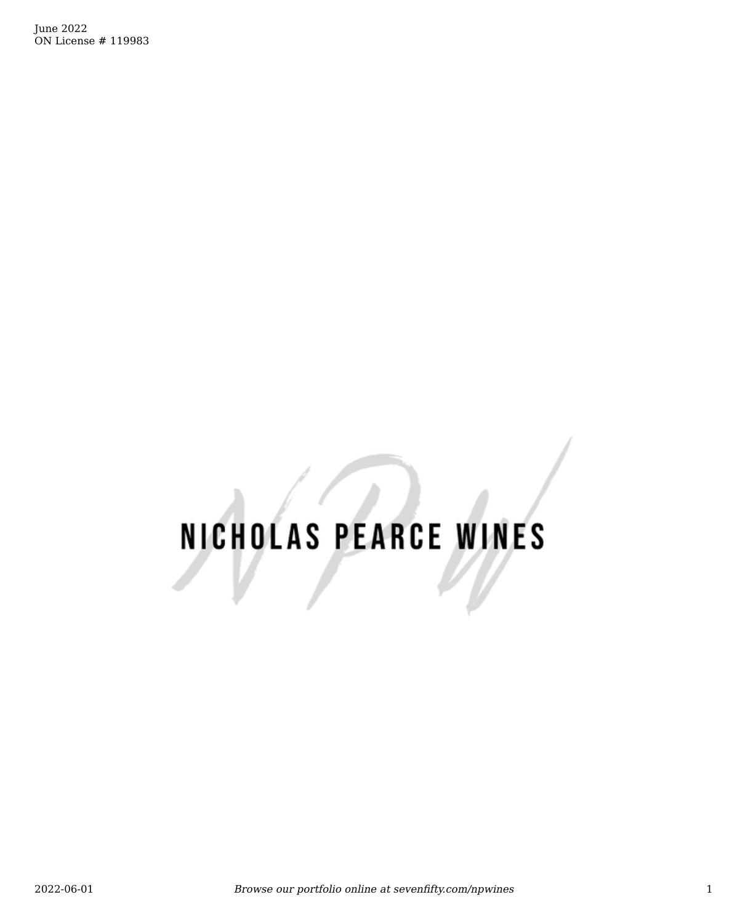June 2022 ON License # 119983

# NICHOLAS PEARCE WINES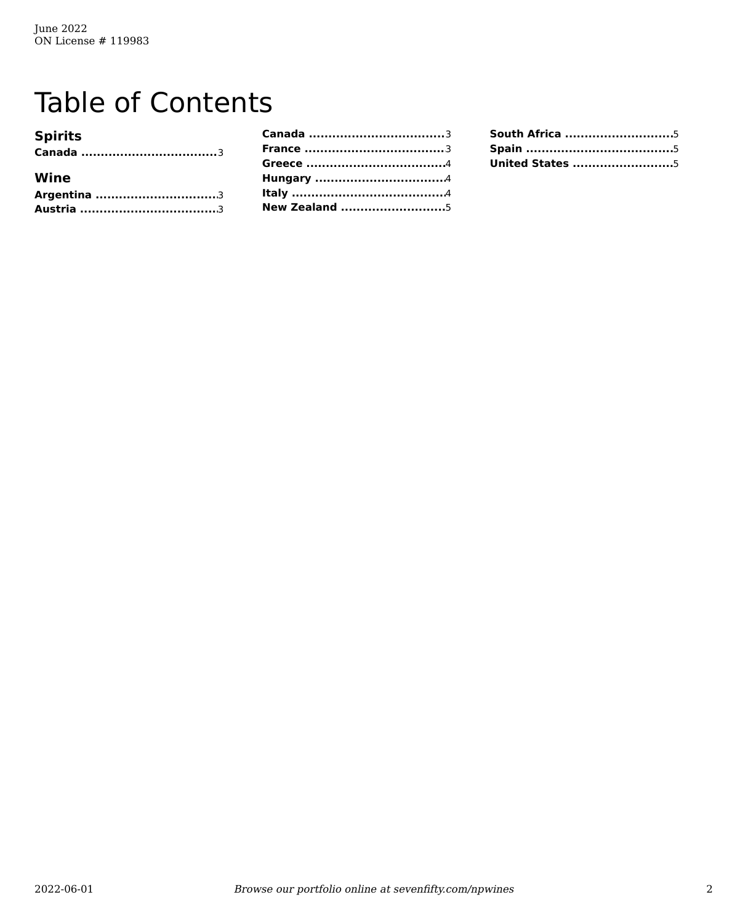# **Table of Contents**

| <b>Spirits</b> |  |
|----------------|--|
|                |  |
| Wine           |  |
|                |  |
|                |  |

| <b>New Zealand 5</b> |  |
|----------------------|--|

| South Africa 5          |
|-------------------------|
|                         |
| <b>United States </b> 5 |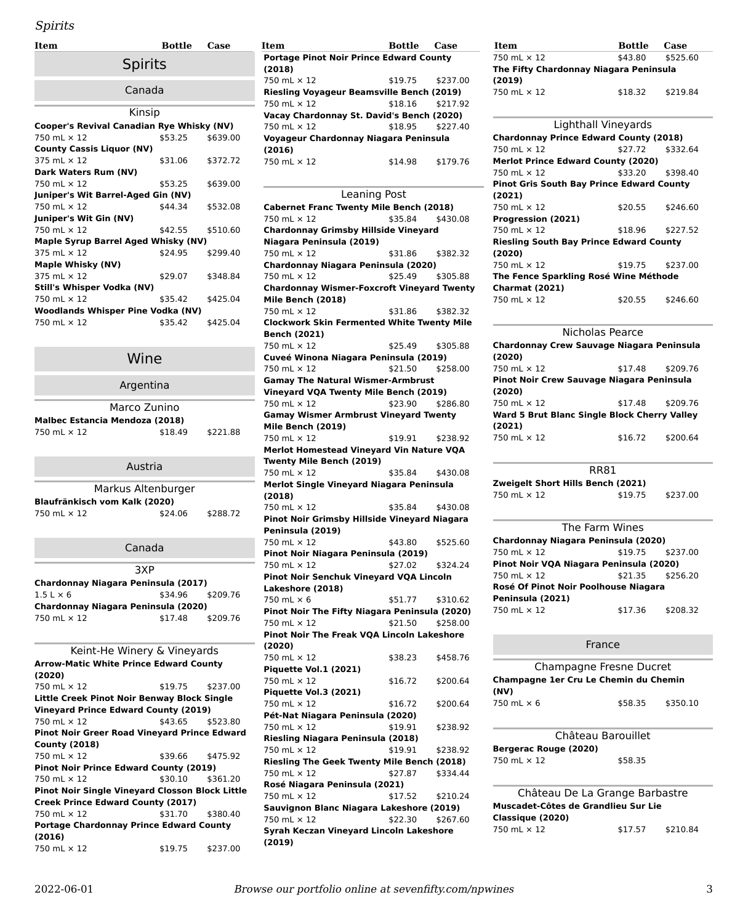### Spirits

<span id="page-2-12"></span><span id="page-2-11"></span><span id="page-2-10"></span><span id="page-2-0"></span>

| <b>Item</b>                                      | <b>Bottle</b> | Case     |  |
|--------------------------------------------------|---------------|----------|--|
| <b>Spirits</b>                                   |               |          |  |
| Canada                                           |               |          |  |
| Kinsip                                           |               |          |  |
| <b>Cooper's Revival Canadian Rye Whisky (NV)</b> |               |          |  |
| 750 mL × 12                                      | \$53.25       | \$639.00 |  |
| <b>County Cassis Liquor (NV)</b>                 |               |          |  |
| $375$ ml $\times$ 12                             | \$31.06       | \$372.72 |  |
| Dark Waters Rum (NV)                             |               |          |  |
| 750 mL × 12                                      | \$53.25       | \$639.00 |  |
| Juniper's Wit Barrel-Aged Gin (NV)               |               |          |  |
| 750 ml x 12                                      | \$44.34       | \$532.08 |  |
| Juniper's Wit Gin (NV)                           |               |          |  |
| $750 \text{ ml} \times 12$                       | \$42.55       | \$510.60 |  |
| Maple Syrup Barrel Aged Whisky (NV)              |               |          |  |
| $375$ ml $\times$ 12                             | \$24.95       | \$299.40 |  |
| Maple Whisky (NV)                                |               |          |  |
| 375 mL × 12                                      | \$29.07       | \$348.84 |  |
| Still's Whisper Vodka (NV)                       |               |          |  |
| $750 \text{ ml} \times 12$                       | \$35.42       | \$425.04 |  |
| <b>Woodlands Whisper Pine Vodka (NV)</b>         |               |          |  |
| 750 mL $\times$ 12                               | \$35.42       | \$425.04 |  |

Wine

<span id="page-2-15"></span><span id="page-2-13"></span><span id="page-2-1"></span>

|                                | Argentina |          |  |
|--------------------------------|-----------|----------|--|
| Marco Zunino                   |           |          |  |
| Malbec Estancia Mendoza (2018) |           |          |  |
| 750 mL $\times$ 12             | \$18.49   | \$221.88 |  |

#### Austria

<span id="page-2-16"></span><span id="page-2-14"></span><span id="page-2-2"></span>

| Markus Altenburger            |         |          |  |
|-------------------------------|---------|----------|--|
| Blaufränkisch vom Kalk (2020) |         |          |  |
| 750 mL × 12                   | \$24.06 | \$288.72 |  |

## Canada

<span id="page-2-17"></span><span id="page-2-5"></span><span id="page-2-3"></span>3XP **Chardonnay Niagara Peninsula (2017)**<br>1.5 L × 6 \$34.96 \$209.76  $1.5 L \times 6$ **Chardonnay Niagara Peninsula (2020)**  $750 \text{ mL} \times 12$ 

<span id="page-2-9"></span><span id="page-2-8"></span><span id="page-2-7"></span><span id="page-2-6"></span><span id="page-2-4"></span>

| Keint-He Winery & Vineyards                            |                  |
|--------------------------------------------------------|------------------|
| <b>Arrow-Matic White Prince Edward County</b>          |                  |
| (2020)                                                 |                  |
| 750 mL $\times$ 12                                     | \$19.75 \$237.00 |
| Little Creek Pinot Noir Benway Block Single            |                  |
| <b>Vineyard Prince Edward County (2019)</b>            |                  |
| 750 mL $\times$ 12                                     | \$43.65 \$523.80 |
| <b>Pinot Noir Greer Road Vinevard Prince Edward</b>    |                  |
| <b>County (2018)</b>                                   |                  |
| 750 mL × 12                                            | \$39.66 \$475.92 |
| <b>Pinot Noir Prince Edward County (2019)</b>          |                  |
| 750 mL $\times$ 12                                     | \$30.10 \$361.20 |
| <b>Pinot Noir Single Vineyard Closson Block Little</b> |                  |
| <b>Creek Prince Edward County (2017)</b>               |                  |
| 750 mL $\times$ 12                                     | \$31.70 \$380.40 |
| <b>Portage Chardonnay Prince Edward County</b>         |                  |
| (2016)                                                 |                  |
| 750 mL $\times$ 12                                     | \$19.75 \$237.00 |
|                                                        |                  |

| Item                      | Bottle                                    | Case     | Item                                             | Bottle  | Case     | Item                                          | <b>Bottle</b>       | Case  |
|---------------------------|-------------------------------------------|----------|--------------------------------------------------|---------|----------|-----------------------------------------------|---------------------|-------|
|                           |                                           |          | <b>Portage Pinot Noir Prince Edward County</b>   |         |          | 750 mL $\times$ 12                            | \$43.80             | \$525 |
|                           | <b>Spirits</b>                            |          | (2018)                                           |         |          | The Fifty Chardonnay Niagara Peninsula        |                     |       |
|                           |                                           |          | 750 mL $\times$ 12                               | \$19.75 | \$237.00 | (2019)                                        |                     |       |
|                           | Canada                                    |          | <b>Riesling Voyageur Beamsville Bench (2019)</b> |         |          | 750 mL $\times$ 12                            | \$18.32             | \$219 |
|                           |                                           |          | 750 mL x 12                                      | \$18.16 | \$217.92 |                                               |                     |       |
|                           | Kinsip                                    |          | Vacay Chardonnay St. David's Bench (2020)        |         |          |                                               |                     |       |
|                           | Cooper's Revival Canadian Rye Whisky (NV) |          | 750 mL $\times$ 12                               | \$18.95 | \$227.40 |                                               | Lighthall Vineyards |       |
| 750 mL × 12               | \$53.25                                   | \$639.00 | Voyageur Chardonnay Niagara Peninsula            |         |          | <b>Chardonnay Prince Edward County (2018)</b> |                     |       |
| County Cassis Liquor (NV) |                                           |          | (2016)                                           |         |          | 750 mL $\times$ 12                            | \$27.72             | \$332 |
| 375 mL × 12               | \$31.06                                   | \$372.72 | 750 mL $\times$ 12                               | \$14.98 | \$179.76 | <b>Merlot Prince Edward County (2020)</b>     |                     |       |
|                           |                                           |          |                                                  |         |          |                                               |                     |       |

| Leaning Post                                      |         |          |
|---------------------------------------------------|---------|----------|
| <b>Cabernet Franc Twenty Mile Bench (2018)</b>    |         |          |
| 750 mL × 12                                       | \$35.84 | \$430.08 |
| <b>Chardonnay Grimsby Hillside Vineyard</b>       |         |          |
| Niagara Peninsula (2019)                          |         |          |
| 750 mL × 12                                       | \$31.86 | \$382.32 |
| Chardonnay Niagara Peninsula (2020)               |         |          |
| 750 mL × 12                                       | \$25.49 | \$305.88 |
| <b>Chardonnay Wismer-Foxcroft Vineyard Twenty</b> |         |          |
| Mile Bench (2018)                                 |         |          |
| 750 mL × 12                                       | \$31.86 | \$382.32 |
| <b>Clockwork Skin Fermented White Twenty Mile</b> |         |          |
| <b>Bench (2021)</b>                               |         |          |
| 750 mL × 12                                       | \$25.49 | \$305.88 |
| Cuveé Winona Niagara Peninsula (2019)             |         |          |
| 750 mL × 12                                       | \$21.50 | \$258.00 |
| <b>Gamay The Natural Wismer-Armbrust</b>          |         |          |
| <b>Vineyard VQA Twenty Mile Bench (2019)</b>      |         |          |
| 750 mL × 12                                       | \$23.90 | \$286.80 |
| <b>Gamay Wismer Armbrust Vineyard Twenty</b>      |         |          |
| Mile Bench (2019)                                 |         |          |
| 750 mL × 12                                       | \$19.91 | \$238.92 |
| <b>Merlot Homestead Vineyard Vin Nature VQA</b>   |         |          |
| Twenty Mile Bench (2019)                          |         |          |
| 750 mL × 12                                       | \$35.84 | \$430.08 |
| Merlot Single Vineyard Niagara Peninsula          |         |          |
| (2018)                                            |         |          |
| 750 mL × 12                                       | \$35.84 | \$430.08 |
| Pinot Noir Grimsby Hillside Vineyard Niagara      |         |          |
| Peninsula (2019)                                  |         |          |
| 750 mL × 12                                       | \$43.80 | \$525.60 |
| Pinot Noir Niagara Peninsula (2019)               |         |          |
| 750 mL × 12                                       | \$27.02 | \$324.24 |
| Pinot Noir Senchuk Vineyard VQA Lincoln           |         |          |
| Lakeshore (2018)                                  |         |          |
| 750 mL $\times$ 6                                 | \$51.77 | \$310.62 |
| Pinot Noir The Fifty Niagara Peninsula (2020)     |         |          |
| 750 mL × 12                                       | \$21.50 | \$258.00 |
| Pinot Noir The Freak VQA Lincoln Lakeshore        |         |          |
| (2020)                                            |         |          |
| 750 mL × 12                                       | \$38.23 | \$458.76 |
| <b>Piquette Vol.1 (2021)</b>                      |         |          |
| 750 mL × 12                                       | \$16.72 | \$200.64 |
| <b>Piquette Vol.3 (2021)</b>                      |         |          |
| 750 mL × 12                                       | \$16.72 | \$200.64 |
| Pét-Nat Niagara Peninsula (2020)                  |         |          |
| 750 mL × 12                                       | \$19.91 | \$238.92 |
| Riesling Niagara Peninsula (2018)                 |         |          |
| 750 mL × 12                                       | \$19.91 | \$238.92 |
| Riesling The Geek Twenty Mile Bench (2018)        |         |          |
| 750 mL × 12                                       | \$27.87 | \$334.44 |
| Rosé Niagara Peninsula (2021)                     |         |          |
| 750 mL × 12                                       | \$17.52 | \$210.24 |
| Sauvignon Blanc Niagara Lakeshore (2019)          |         |          |
| 750 mL × 12                                       | \$22.30 | \$267.60 |
| Syrah Keczan Vineyard Lincoln Lakeshore           |         |          |
| (2019)                                            |         |          |
|                                                   |         |          |

| Item                                   | <b>Bottle</b> | Case     |  |
|----------------------------------------|---------------|----------|--|
| 750 mL $\times$ 12                     | \$43.80       | \$525.60 |  |
| The Fifty Chardonnay Niagara Peninsula |               |          |  |
| (2019)                                 |               |          |  |
| 750 mL $\times$ 12                     | \$18.32       | \$219.84 |  |

#### Lighthall Vineyards

| <b>Chardonnay Prince Edward County (2018)</b>    |                  |          |  |
|--------------------------------------------------|------------------|----------|--|
| 750 mL $\times$ 12                               | \$27.72 \$332.64 |          |  |
| <b>Merlot Prince Edward County (2020)</b>        |                  |          |  |
| 750 mL $\times$ 12                               | \$33.20 \$398.40 |          |  |
| <b>Pinot Gris South Bay Prince Edward County</b> |                  |          |  |
| (2021)                                           |                  |          |  |
| 750 mL $\times$ 12                               | \$20.55          | \$246.60 |  |
| Progression (2021)                               |                  |          |  |
| 750 mL $\times$ 12                               | \$18.96 \$227.52 |          |  |
| <b>Riesling South Bay Prince Edward County</b>   |                  |          |  |
| (2020)                                           |                  |          |  |
| 750 mL $\times$ 12                               | \$19.75 \$237.00 |          |  |
| The Fence Sparkling Rosé Wine Méthode            |                  |          |  |
| <b>Charmat (2021)</b>                            |                  |          |  |
| 750 mL $\times$ 12                               | \$20.55          | \$246.60 |  |

#### Nicholas Pearce

| Chardonnay Crew Sauvage Niagara Peninsula<br>(2020) |                  |          |
|-----------------------------------------------------|------------------|----------|
| 750 mL $\times$ 12                                  | \$17.48 \$209.76 |          |
| Pinot Noir Crew Sauvage Niagara Peninsula           |                  |          |
| (2020)                                              |                  |          |
| 750 mL $\times$ 12                                  | \$17.48 \$209.76 |          |
| Ward 5 Brut Blanc Single Block Cherry Valley        |                  |          |
| (2021)                                              |                  |          |
| 750 mL $\times$ 12                                  | \$16.72          | \$200.64 |

#### RR81

| Zweigelt Short Hills Bench (2021) |         |          |
|-----------------------------------|---------|----------|
| 750 mL × 12                       | \$19.75 | \$237.00 |

#### The Farm Wines

| Chardonnay Niagara Peninsula (2020)     |         |                  |
|-----------------------------------------|---------|------------------|
| 750 mL $\times$ 12                      |         | \$19.75 \$237.00 |
| Pinot Noir VQA Niagara Peninsula (2020) |         |                  |
| 750 mL x 12                             |         | \$21.35 \$256.20 |
| Rosé Of Pinot Noir Poolhouse Niagara    |         |                  |
| Peninsula (2021)                        |         |                  |
| 750 mL $\times$ 12                      | \$17.36 | \$208.32         |

#### France

|                                       | Champagne Fresne Ducret |          |
|---------------------------------------|-------------------------|----------|
| Champagne 1er Cru Le Chemin du Chemin |                         |          |
| (NV)                                  |                         |          |
| 750 mL $\times$ 6                     | \$58.35                 | \$350.10 |

| Château Barouillet    |         |
|-----------------------|---------|
| Bergerac Rouge (2020) |         |
| 750 mL $\times$ 12    | \$58.35 |

| Château De La Grange Barbastre      |         |          |
|-------------------------------------|---------|----------|
| Muscadet-Côtes de Grandlieu Sur Lie |         |          |
| Classique (2020)                    |         |          |
| 750 mL $\times$ 12                  | \$17.57 | \$210.84 |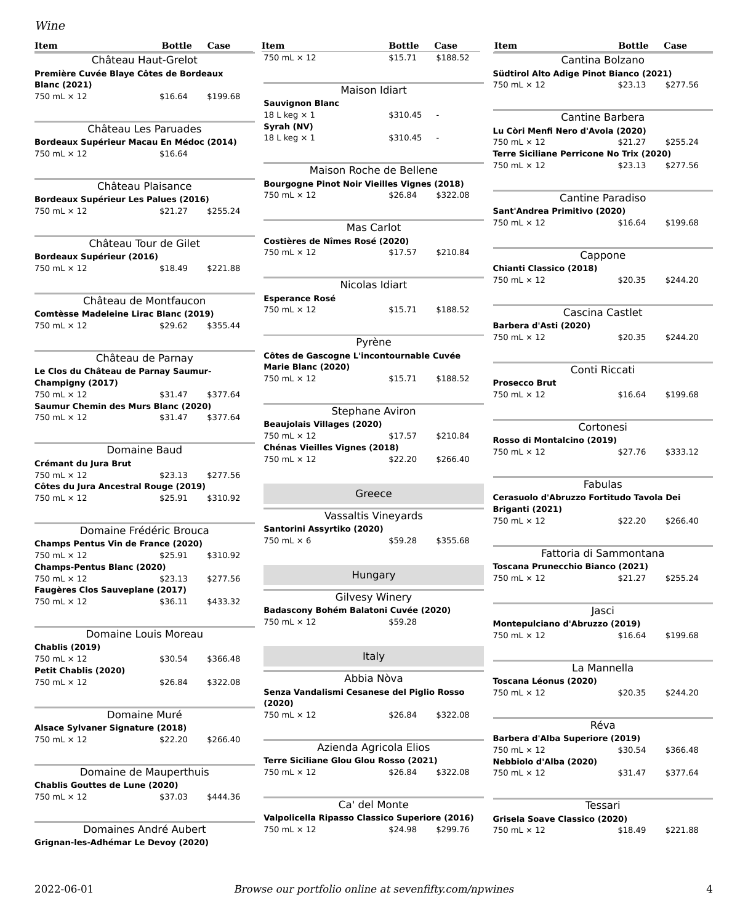#### Wine

<span id="page-3-35"></span><span id="page-3-33"></span><span id="page-3-32"></span><span id="page-3-31"></span><span id="page-3-30"></span><span id="page-3-29"></span><span id="page-3-18"></span><span id="page-3-17"></span><span id="page-3-16"></span><span id="page-3-15"></span><span id="page-3-14"></span><span id="page-3-13"></span><span id="page-3-12"></span><span id="page-3-11"></span><span id="page-3-10"></span><span id="page-3-9"></span><span id="page-3-8"></span><span id="page-3-7"></span><span id="page-3-6"></span>

| <b>Item</b>                                                    | Bottle  | Case     |
|----------------------------------------------------------------|---------|----------|
| Château Haut-Grelot                                            |         |          |
| Première Cuvée Blaye Côtes de Bordeaux<br><b>Blanc (2021)</b>  |         |          |
| 750 mL × 12                                                    | \$16.64 | \$199.68 |
| Château Les Paruades                                           |         |          |
| Bordeaux Supérieur Macau En Médoc (2014)                       |         |          |
| 750 mL × 12                                                    | \$16.64 |          |
| Château Plaisance                                              |         |          |
| Bordeaux Supérieur Les Palues (2016)                           |         |          |
| 750 mL × 12                                                    | \$21.27 | \$255.24 |
| Château Tour de Gilet                                          |         |          |
| Bordeaux Supérieur (2016)                                      |         |          |
| 750 mL × 12                                                    | \$18.49 | \$221.88 |
| Château de Montfaucon<br>Comtèsse Madeleine Lirac Blanc (2019) |         |          |
| 750 mL x 12                                                    | \$29.62 | \$355.44 |
|                                                                |         |          |
| Château de Parnay                                              |         |          |
| Le Clos du Château de Parnay Saumur-                           |         |          |
| Champigny (2017)                                               |         |          |
| 750 mL × 12<br>Saumur Chemin des Murs Blanc (2020)             | \$31.47 | \$377.64 |
| 750 mL × 12                                                    | \$31.47 | \$377.64 |
|                                                                |         |          |
| Domaine Baud                                                   |         |          |
| Crémant du Jura Brut                                           |         |          |
| 750 mL × 12                                                    | \$23.13 | \$277.56 |
| Côtes du Jura Ancestral Rouge (2019)                           |         |          |
| 750 mL × 12                                                    | \$25.91 | \$310.92 |
| Domaine Frédéric Brouca                                        |         |          |
| Champs Pentus Vin de France (2020)                             |         |          |
| 750 mL × 12                                                    | \$25.91 | \$310.92 |
| Champs-Pentus Blanc (2020)<br>750 mL × 12                      |         |          |
| <b>Faugères Clos Sauveplane (2017)</b>                         | \$23.13 | \$277.56 |
| 750 mL × 12                                                    | \$36.11 | \$433.32 |
|                                                                |         |          |
| Domaine Louis Moreau<br><b>Chablis (2019)</b>                  |         |          |
| 750 mL × 12                                                    | \$30.54 | \$366.48 |
| Petit Chablis (2020)<br>750 mL × 12                            | \$26.84 | \$322.08 |
|                                                                |         |          |
| Domaine Muré                                                   |         |          |
| Alsace Sylvaner Signature (2018)                               |         |          |
| 750 mL × 12                                                    | \$22.20 | \$266.40 |
| Domaine de Mauperthuis                                         |         |          |
| Chablis Gouttes de Lune (2020)                                 |         |          |
| 750 mL × 12                                                    | \$37.03 | \$444.36 |
| Domaines André Aubert                                          |         |          |
| Grignan-les-Adhémar Le Devoy (2020)                            |         |          |

<span id="page-3-37"></span><span id="page-3-36"></span><span id="page-3-34"></span><span id="page-3-28"></span><span id="page-3-27"></span><span id="page-3-26"></span><span id="page-3-25"></span><span id="page-3-24"></span><span id="page-3-23"></span><span id="page-3-22"></span><span id="page-3-21"></span><span id="page-3-20"></span><span id="page-3-19"></span><span id="page-3-5"></span><span id="page-3-4"></span><span id="page-3-3"></span><span id="page-3-2"></span><span id="page-3-1"></span><span id="page-3-0"></span>

| 2022-06-01 | Browse our portfolio online at sevenfifty.com/npwines |  |
|------------|-------------------------------------------------------|--|

\$24.98 \$299.76

| Item                                                | <b>Bottle</b>         | Case     | Item                                               | <b>Bottle</b>          | Case     | Item                                            | <b>Bottle</b>    | Case             |
|-----------------------------------------------------|-----------------------|----------|----------------------------------------------------|------------------------|----------|-------------------------------------------------|------------------|------------------|
|                                                     | Château Haut-Grelot   |          | 750 mL × 12                                        | \$15.71                | \$188.52 |                                                 | Cantina Bolzano  |                  |
| Première Cuvée Blaye Côtes de Bordeaux              |                       |          |                                                    |                        |          | Südtirol Alto Adige Pinot Bianco (2021)         |                  |                  |
| Blanc (2021)<br>750 mL × 12                         | \$16.64               | \$199.68 |                                                    | Maison Idiart          |          | 750 mL × 12                                     | \$23.13          | \$277.56         |
|                                                     |                       |          | <b>Sauvignon Blanc</b>                             |                        |          |                                                 |                  |                  |
|                                                     |                       |          | 18 L keg $\times$ 1                                | $$310.45 -$            |          |                                                 | Cantine Barbera  |                  |
| Château Les Paruades                                |                       |          | Syrah (NV)                                         |                        |          | Lu Còri Menfi Nero d'Avola (2020)               |                  |                  |
| Bordeaux Supérieur Macau En Médoc (2014)            |                       |          | 18 L keg $\times$ 1                                | $$310.45 -$            |          | 750 mL × 12                                     | \$21.27          | \$255.24         |
| 750 mL × 12                                         | \$16.64               |          |                                                    |                        |          | <b>Terre Siciliane Perricone No Trix (2020)</b> |                  |                  |
|                                                     |                       |          | Maison Roche de Bellene                            |                        |          | 750 mL × 12                                     | \$23.13          | \$277.56         |
|                                                     | Château Plaisance     |          | <b>Bourgogne Pinot Noir Vieilles Vignes (2018)</b> |                        |          |                                                 |                  |                  |
| Bordeaux Supérieur Les Palues (2016)                |                       |          | 750 mL × 12                                        | \$26.84                | \$322.08 |                                                 | Cantine Paradiso |                  |
| 750 mL × 12                                         | \$21.27               | \$255.24 |                                                    |                        |          | Sant'Andrea Primitivo (2020)                    |                  |                  |
|                                                     |                       |          |                                                    | Mas Carlot             |          | 750 mL × 12                                     | \$16.64          | \$199.68         |
|                                                     | Château Tour de Gilet |          | Costières de Nîmes Rosé (2020)                     |                        |          |                                                 |                  |                  |
|                                                     |                       |          | 750 mL × 12                                        | \$17.57                | \$210.84 |                                                 | Cappone          |                  |
| Bordeaux Supérieur (2016)<br>750 mL × 12            | \$18.49               | \$221.88 |                                                    |                        |          | Chianti Classico (2018)                         |                  |                  |
|                                                     |                       |          |                                                    |                        |          | 750 mL × 12                                     | \$20.35          | \$244.20         |
|                                                     |                       |          |                                                    | Nicolas Idiart         |          |                                                 |                  |                  |
| Château de Montfaucon                               |                       |          | <b>Esperance Rosé</b>                              |                        |          |                                                 |                  |                  |
| Comtèsse Madeleine Lirac Blanc (2019)               |                       |          | 750 mL x 12                                        | \$15.71                | \$188.52 |                                                 | Cascina Castlet  |                  |
| 750 mL × 12                                         | \$29.62               | \$355.44 |                                                    |                        |          | Barbera d'Asti (2020)                           |                  |                  |
|                                                     |                       |          |                                                    | Pyrène                 |          | 750 mL × 12                                     | \$20.35          | \$244.20         |
|                                                     | Château de Parnay     |          | Côtes de Gascogne L'incontournable Cuvée           |                        |          |                                                 |                  |                  |
| Le Clos du Château de Parnay Saumur-                |                       |          | Marie Blanc (2020)                                 |                        |          |                                                 | Conti Riccati    |                  |
| Champigny (2017)                                    |                       |          | 750 mL × 12                                        | \$15.71                | \$188.52 | <b>Prosecco Brut</b>                            |                  |                  |
| 750 mL × 12                                         | \$31.47               | \$377.64 |                                                    |                        |          | 750 mL × 12                                     | \$16.64          | \$199.68         |
| Saumur Chemin des Murs Blanc (2020)                 |                       |          |                                                    |                        |          |                                                 |                  |                  |
| 750 mL × 12                                         | \$31.47               | \$377.64 |                                                    | Stephane Aviron        |          |                                                 |                  |                  |
|                                                     |                       |          | <b>Beaujolais Villages (2020)</b><br>750 mL × 12   | \$17.57                | \$210.84 |                                                 | Cortonesi        |                  |
|                                                     |                       |          | Chénas Vieilles Vignes (2018)                      |                        |          | Rosso di Montalcino (2019)                      |                  |                  |
|                                                     | Domaine Baud          |          | 750 mL × 12                                        | \$22.20                | \$266.40 | 750 mL × 12                                     | \$27.76          | \$333.12         |
| Crémant du Jura Brut                                |                       |          |                                                    |                        |          |                                                 |                  |                  |
| 750 mL × 12<br>Côtes du Jura Ancestral Rouge (2019) | \$23.13               | \$277.56 |                                                    |                        |          |                                                 | Fabulas          |                  |
| 750 mL × 12                                         | \$25.91               | \$310.92 |                                                    | Greece                 |          | Cerasuolo d'Abruzzo Fortitudo Tavola Dei        |                  |                  |
|                                                     |                       |          |                                                    |                        |          | Briganti (2021)                                 |                  |                  |
|                                                     |                       |          |                                                    | Vassaltis Vineyards    |          | 750 mL × 12                                     | \$22.20          | \$266.40         |
| Domaine Frédéric Brouca                             |                       |          | Santorini Assyrtiko (2020)                         |                        |          |                                                 |                  |                  |
| Champs Pentus Vin de France (2020)                  |                       |          | 750 mL × 6                                         | \$59.28                | \$355.68 |                                                 |                  |                  |
| 750 mL × 12                                         | \$25.91               | \$310.92 |                                                    |                        |          | Fattoria di Sammontana                          |                  |                  |
| Champs-Pentus Blanc (2020)                          |                       |          |                                                    | Hungary                |          | <b>Toscana Prunecchio Bianco (2021)</b>         |                  |                  |
| 750 mL × 12                                         | \$23.13               | \$277.56 |                                                    |                        |          | 750 mL × 12 \$21.27                             |                  | \$255.24         |
| Faugères Clos Sauveplane (2017)<br>750 mL × 12      | \$36.11               |          |                                                    | Gilvesy Winery         |          |                                                 |                  |                  |
|                                                     |                       | \$433.32 | Badascony Bohém Balatoni Cuvée (2020)              |                        |          |                                                 | Jasci            |                  |
|                                                     |                       |          | 750 mL × 12                                        | \$59.28                |          | Montepulciano d'Abruzzo (2019)                  |                  |                  |
| Domaine Louis Moreau                                |                       |          |                                                    |                        |          | 750 mL × 12                                     | \$16.64          | \$199.68         |
| Chablis (2019)                                      |                       |          |                                                    |                        |          |                                                 |                  |                  |
| 750 mL × 12                                         | \$30.54               | \$366.48 |                                                    | Italy                  |          |                                                 |                  |                  |
| Petit Chablis (2020)                                |                       |          |                                                    |                        |          |                                                 | La Mannella      |                  |
| 750 mL × 12                                         | \$26.84               | \$322.08 |                                                    | Abbia Nòva             |          | Toscana Léonus (2020)                           |                  |                  |
|                                                     |                       |          | Senza Vandalismi Cesanese del Piglio Rosso         |                        |          | 750 mL × 12                                     | \$20.35          | \$244.20         |
|                                                     | Domaine Muré          |          | (2020)<br>750 mL × 12                              |                        |          |                                                 |                  |                  |
| Alsace Sylvaner Signature (2018)                    |                       |          |                                                    | \$26.84                | \$322.08 |                                                 | Réva             |                  |
| 750 mL × 12                                         | \$22.20               | \$266.40 |                                                    |                        |          | Barbera d'Alba Superiore (2019)                 |                  |                  |
|                                                     |                       |          |                                                    | Azienda Agricola Elios |          | 750 mL × 12                                     | \$30.54          | \$366.48         |
|                                                     |                       |          | <b>Terre Siciliane Glou Glou Rosso (2021)</b>      |                        |          | Nebbiolo d'Alba (2020)                          |                  |                  |
| Domaine de Mauperthuis                              |                       |          | 750 mL × 12                                        | \$26.84                | \$322.08 | 750 mL × 12                                     | \$31.47          | \$377.64         |
| Chablis Gouttes de Lune (2020)                      |                       |          |                                                    |                        |          |                                                 |                  |                  |
| 750 mL × 12                                         | \$37.03               | \$444.36 |                                                    |                        |          |                                                 |                  |                  |
|                                                     |                       |          |                                                    | Ca' del Monte          |          |                                                 | Tessari          |                  |
|                                                     |                       |          | Valpolicella Ripasso Classico Superiore (2016)     |                        |          | Grisela Soave Classico (2020)                   |                  |                  |
| Domaines André Aubert                               |                       |          | 750 ml x 12                                        | $$24.98$ \$299.76      |          | $750 \text{ ml} \times 12$                      |                  | \$18.49 \$221.88 |

750 mL × 12 \$18.49 \$221.88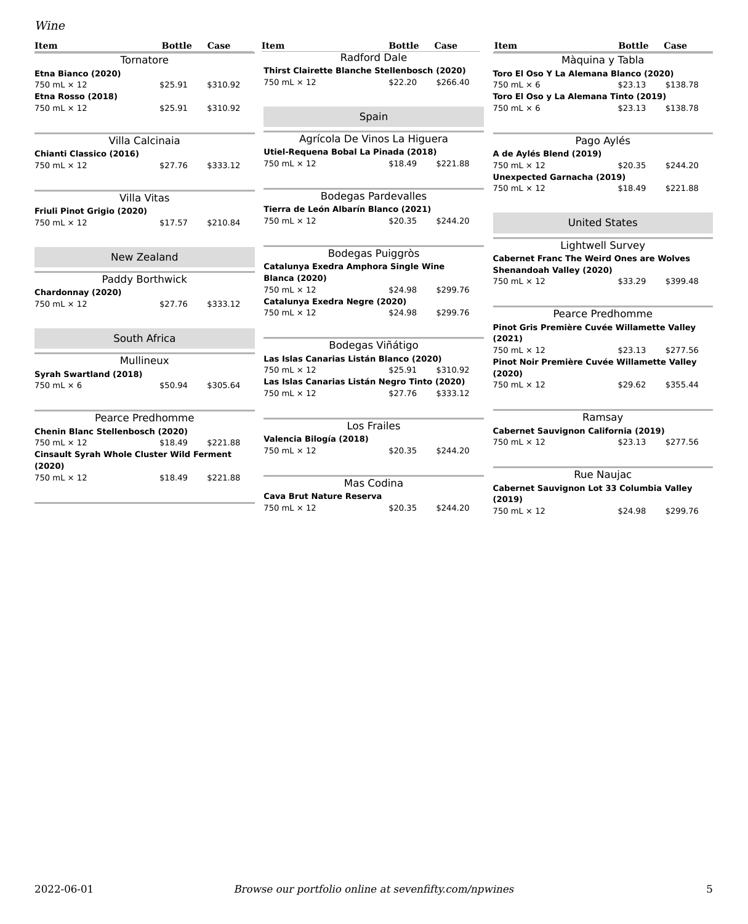#### Wine

<span id="page-4-20"></span><span id="page-4-19"></span><span id="page-4-18"></span><span id="page-4-17"></span><span id="page-4-16"></span><span id="page-4-15"></span><span id="page-4-14"></span><span id="page-4-13"></span><span id="page-4-12"></span><span id="page-4-11"></span><span id="page-4-10"></span><span id="page-4-9"></span><span id="page-4-8"></span><span id="page-4-7"></span><span id="page-4-6"></span><span id="page-4-5"></span><span id="page-4-4"></span><span id="page-4-3"></span><span id="page-4-2"></span><span id="page-4-1"></span><span id="page-4-0"></span>

| Item                                             | <b>Bottle</b> | Case     | Item                                                            | <b>Bottle</b>                | Case     | Item                                            | <b>Bottle</b>        | Case     |
|--------------------------------------------------|---------------|----------|-----------------------------------------------------------------|------------------------------|----------|-------------------------------------------------|----------------------|----------|
| Tornatore                                        |               |          |                                                                 | <b>Radford Dale</b>          |          |                                                 | Màquina y Tabla      |          |
| Etna Bianco (2020)                               |               |          | Thirst Clairette Blanche Stellenbosch (2020)                    |                              |          | Toro El Oso Y La Alemana Blanco (2020)          |                      |          |
| 750 mL × 12                                      | \$25.91       | \$310.92 | 750 mL × 12                                                     | \$22.20                      | \$266.40 | 750 mL $\times$ 6                               | \$23.13              | \$138.78 |
| Etna Rosso (2018)                                |               |          |                                                                 |                              |          | Toro El Oso y La Alemana Tinto (2019)           |                      |          |
| 750 mL × 12                                      | \$25.91       | \$310.92 |                                                                 | Spain                        |          | 750 mL $\times$ 6                               | \$23.13              | \$138.78 |
|                                                  |               |          |                                                                 |                              |          |                                                 |                      |          |
| Villa Calcinaia                                  |               |          |                                                                 | Agrícola De Vinos La Higuera |          |                                                 | Pago Aylés           |          |
| Chianti Classico (2016)                          |               |          | Utiel-Requena Bobal La Pinada (2018)<br>A de Aylés Blend (2019) |                              |          |                                                 |                      |          |
| 750 mL × 12                                      | \$27.76       | \$333.12 | 750 mL × 12                                                     | \$18.49                      | \$221.88 | 750 mL × 12                                     | \$20.35              | \$244.20 |
|                                                  |               |          |                                                                 |                              |          | <b>Unexpected Garnacha (2019)</b>               |                      |          |
|                                                  |               |          |                                                                 |                              |          | 750 mL × 12                                     | \$18.49              | \$221.88 |
| Villa Vitas                                      |               |          |                                                                 | <b>Bodegas Pardevalles</b>   |          |                                                 |                      |          |
| Friuli Pinot Grigio (2020)                       |               |          | Tierra de León Albarín Blanco (2021)                            |                              |          |                                                 |                      |          |
| 750 mL × 12                                      | \$17.57       | \$210.84 | 750 mL × 12                                                     | \$20.35                      | \$244.20 |                                                 | <b>United States</b> |          |
|                                                  |               |          |                                                                 |                              |          |                                                 | Lightwell Survey     |          |
| New Zealand                                      |               |          |                                                                 | Bodegas Puiggròs             |          | <b>Cabernet Franc The Weird Ones are Wolves</b> |                      |          |
|                                                  |               |          | Catalunya Exedra Amphora Single Wine                            |                              |          | Shenandoah Valley (2020)                        |                      |          |
| Paddy Borthwick                                  |               |          | <b>Blanca (2020)</b>                                            |                              |          | 750 mL × 12                                     | \$33.29              | \$399.48 |
| Chardonnay (2020)                                |               |          | 750 mL × 12                                                     | \$24.98                      | \$299.76 |                                                 |                      |          |
| 750 mL × 12                                      | \$27.76       | \$333.12 | Catalunya Exedra Negre (2020)                                   |                              |          |                                                 |                      |          |
|                                                  |               |          | 750 mL × 12                                                     | \$24.98                      | \$299.76 |                                                 | Pearce Predhomme     |          |
|                                                  |               |          |                                                                 |                              |          | Pinot Gris Première Cuvée Willamette Valley     |                      |          |
| South Africa                                     |               |          |                                                                 | Bodegas Viñátigo             |          | (2021)                                          |                      |          |
|                                                  |               |          |                                                                 |                              |          | 750 mL × 12                                     | \$23.13              | \$277.56 |
| Mullineux                                        |               |          | Las Islas Canarias Listán Blanco (2020)<br>750 mL × 12          | \$25.91                      | \$310.92 | Pinot Noir Première Cuvée Willamette Valley     |                      |          |
| Syrah Swartland (2018)                           |               |          |                                                                 |                              |          | (2020)                                          |                      |          |
| 750 mL $\times$ 6                                | \$50.94       | \$305.64 | Las Islas Canarias Listán Negro Tinto (2020)<br>750 mL × 12     | \$27.76                      | \$333.12 | 750 mL × 12                                     | \$29.62              | \$355.44 |
|                                                  |               |          |                                                                 |                              |          |                                                 |                      |          |
| Pearce Predhomme                                 |               |          |                                                                 |                              |          |                                                 | Ramsay               |          |
| Chenin Blanc Stellenbosch (2020)                 |               |          |                                                                 | Los Frailes                  |          | Cabernet Sauvignon California (2019)            |                      |          |
| 750 mL × 12                                      | \$18.49       | \$221.88 | Valencia Bilogía (2018)                                         |                              |          | 750 mL × 12                                     | \$23.13              | \$277.56 |
| <b>Cinsault Syrah Whole Cluster Wild Ferment</b> |               |          | 750 mL × 12                                                     | \$20.35                      | \$244.20 |                                                 |                      |          |
| (2020)<br>750 mL × 12                            | \$18.49       | \$221.88 |                                                                 |                              |          |                                                 | <b>Rue Naujac</b>    |          |
|                                                  |               |          | Mas Codina<br>Cabernet Sauvignon Lot 33 Columbia Valley         |                              |          |                                                 |                      |          |
|                                                  |               |          | <b>Cava Brut Nature Reserva</b>                                 |                              |          | (2019)                                          |                      |          |
|                                                  |               |          | 750 mL × 12                                                     | \$20.35                      | \$244.20 | 750 mL × 12                                     | \$24.98              | \$299.76 |